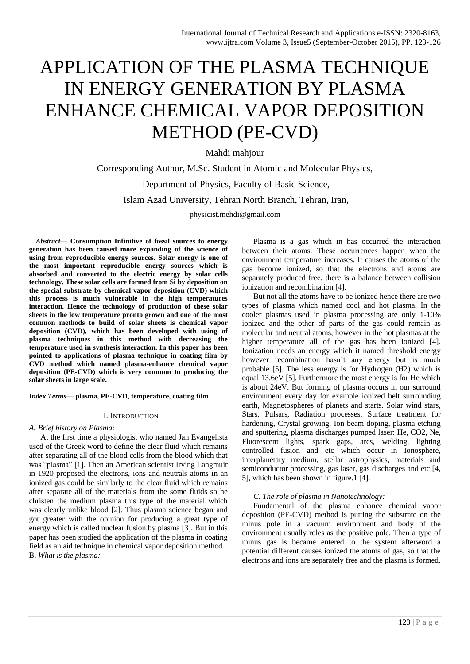# APPLICATION OF THE PLASMA TECHNIQUE IN ENERGY GENERATION BY PLASMA ENHANCE CHEMICAL VAPOR DEPOSITION METHOD (PE-CVD)

Mahdi mahjour

Corresponding Author, M.Sc. Student in Atomic and Molecular Physics, Department of Physics, Faculty of Basic Science, Islam Azad University, Tehran North Branch, Tehran, Iran, physicist.mehdi@gmail.com

*Abstract***— Consumption Infinitive of fossil sources to energy generation has been caused more expanding of the science of using from reproducible energy sources. Solar energy is one of the most important reproducible energy sources which is absorbed and converted to the electric energy by solar cells technology. These solar cells are formed from Si by deposition on the special substrate by chemical vapor deposition (CVD) which this process is much vulnerable in the high temperatures interaction. Hence the technology of production of these solar sheets in the low temperature pronto grown and one of the most common methods to build of solar sheets is chemical vapor deposition (CVD), which has been developed with using of plasma techniques in this method with decreasing the temperature used in synthesis interaction. In this paper has been pointed to applications of plasma technique in coating film by CVD method which named plasma-enhance chemical vapor deposition (PE-CVD) which is very common to producing the solar sheets in large scale.**

*Index Terms***— plasma, PE-CVD, temperature, coating film** 

## I. INTRODUCTION

*A. Brief history on Plasma:*

At the first time a physiologist who named Jan Evangelista used of the Greek word to define the clear fluid which remains after separating all of the blood cells from the blood which that was "plasma" [1]. Then an American scientist Irving Langmuir in 1920 proposed the electrons, ions and neutrals atoms in an ionized gas could be similarly to the clear fluid which remains after separate all of the materials from the some fluids so he christen the medium plasma this type of the material which was clearly unlike blood [2]. Thus plasma science began and got greater with the opinion for producing a great type of energy which is called nuclear fusion by plasma [3]. But in this paper has been studied the application of the plasma in coating field as an aid technique in chemical vapor deposition method B. *What is the plasma:*

Plasma is a gas which in has occurred the interaction between their atoms. These occurrences happen when the environment temperature increases. It causes the atoms of the gas become ionized, so that the electrons and atoms are separately produced free. there is a balance between collision ionization and recombination [4].

But not all the atoms have to be ionized hence there are two types of plasma which named cool and hot plasma. In the cooler plasmas used in plasma processing are only 1-10% ionized and the other of parts of the gas could remain as molecular and neutral atoms, however in the hot plasmas at the higher temperature all of the gas has been ionized [4]. Ionization needs an energy which it named threshold energy however recombination hasn't any energy but is much probable [5]. The less energy is for Hydrogen (H2) which is equal 13.6eV [5]. Furthermore the most energy is for He which is about 24eV. But forming of plasma occurs in our surround environment every day for example ionized belt surrounding earth, Magnetospheres of planets and starts. Solar wind stars, Stars, Pulsars, Radiation processes, Surface treatment for hardening, Crystal growing, Ion beam doping, plasma etching and sputtering, plasma discharges pumped laser: He, CO2, Ne, Fluorescent lights, spark gaps, arcs, welding, lighting controlled fusion and etc which occur in Ionosphere, interplanetary medium, stellar astrophysics, materials and semiconductor processing, gas laser, gas discharges and etc [4, 5], which has been shown in figure.1 [4].

## *C. The role of plasma in Nanotechnology:*

Fundamental of the plasma enhance chemical vapor deposition (PE-CVD) method is putting the substrate on the minus pole in a vacuum environment and body of the environment usually roles as the positive pole. Then a type of minus gas is became entered to the system afterword a potential different causes ionized the atoms of gas, so that the electrons and ions are separately free and the plasma is formed.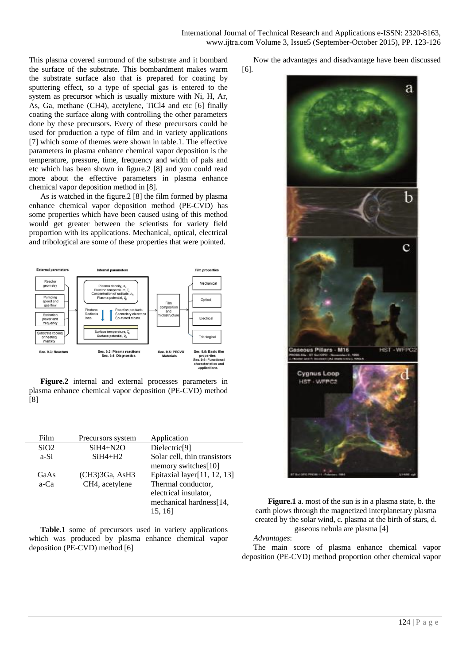This plasma covered surround of the substrate and it bombard the surface of the substrate. This bombardment makes warm the substrate surface also that is prepared for coating by sputtering effect, so a type of special gas is entered to the system as precursor which is usually mixture with Ni, H, Ar, As, Ga, methane (CH4), acetylene, TiCl4 and etc [6] finally coating the surface along with controlling the other parameters done by these precursors. Every of these precursors could be used for production a type of film and in variety applications [7] which some of themes were shown in table.1. The effective parameters in plasma enhance chemical vapor deposition is the temperature, pressure, time, frequency and width of pals and etc which has been shown in figure.2 [8] and you could read more about the effective parameters in plasma enhance chemical vapor deposition method in [8].

As is watched in the figure.2 [8] the film formed by plasma enhance chemical vapor deposition method (PE-CVD) has some properties which have been caused using of this method would get greater between the scientists for variety field proportion with its applications. Mechanical, optical, electrical and tribological are some of these properties that were pointed.



**Figure.2** internal and external processes parameters in plasma enhance chemical vapor deposition (PE-CVD) method [8]

| Film | Precursors system | Application                    |
|------|-------------------|--------------------------------|
| SiO2 | $SiH4 + N2O$      | Dielectric <sup>[9]</sup>      |
| a-Si | $SiH4+H2$         | Solar cell, thin transistors   |
|      |                   | memory switches[10]            |
| GaAs | (CH3)3Ga, AsH3    | Epitaxial layer $[11, 12, 13]$ |
| a-Ca | CH4, acetylene    | Thermal conductor,             |
|      |                   | electrical insulator,          |
|      |                   | mechanical hardness [14,       |
|      |                   | 15, 16                         |

**Table.1** some of precursors used in variety applications which was produced by plasma enhance chemical vapor deposition (PE-CVD) method [6]

Now the advantages and disadvantage have been discussed





**Figure.1** a. most of the sun is in a plasma state, b. the earth plows through the magnetized interplanetary plasma created by the solar wind, c. plasma at the birth of stars, d. gaseous nebula are plasma [4]

*Advantages*:

The main score of plasma enhance chemical vapor deposition (PE-CVD) method proportion other chemical vapor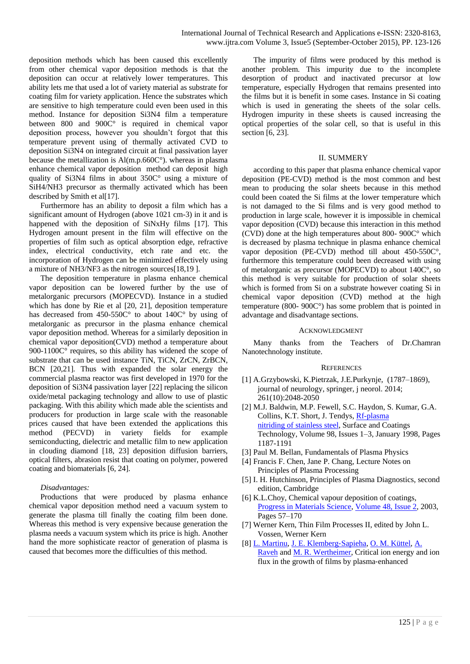deposition methods which has been caused this excellently from other chemical vapor deposition methods is that the deposition can occur at relatively lower temperatures. This ability lets me that used a lot of variety material as substrate for coating film for variety application. Hence the substrates which are sensitive to high temperature could even been used in this method. Instance for deposition Si3N4 film a temperature between 800 and 900 $\tilde{C}^{\circ}$  is required in chemical vapor deposition process, however you shouldn't forgot that this temperature prevent using of thermally activated CVD to deposition Si3N4 on integrated circuit at final passivation layer because the metallization is Al(m.p.660C°). whereas in plasma enhance chemical vapor deposition method can deposit high quality of Si3N4 films in about 350C° using a mixture of SiH4/NH3 precursor as thermally activated which has been described by Smith et al[17].

Furthermore has an ability to deposit a film which has a significant amount of Hydrogen (above 1021 cm-3) in it and is happened with the deposition of SiNxHy films [17]. This Hydrogen amount present in the film will effective on the properties of film such as optical absorption edge, refractive index, electrical conductivity, etch rate and etc. the incorporation of Hydrogen can be minimized effectively using a mixture of NH3/NF3 as the nitrogen sources[18,19 ].

The deposition temperature in plasma enhance chemical vapor deposition can be lowered further by the use of metalorganic precursors (MOPECVD). Instance in a studied which has done by Rie et al [20, 21], deposition temperature has decreased from 450-550C° to about 140C° by using of metalorganic as precursor in the plasma enhance chemical vapor deposition method. Whereas for a similarly deposition in chemical vapor deposition(CVD) method a temperature about 900-1100C<sup>°</sup> requires, so this ability has widened the scope of substrate that can be used instance TiN, TiCN, ZrCN, ZrBCN, BCN [20,21]. Thus with expanded the solar energy the commercial plasma reactor was first developed in 1970 for the deposition of Si3N4 passivation layer [22] replacing the silicon oxide/metal packaging technology and allow to use of plastic packaging. With this ability which made able the scientists and producers for production in large scale with the reasonable prices caused that have been extended the applications this method (PECVD) in variety fields for example semiconducting, dielectric and metallic film to new application in clouding diamond [18, 23] deposition diffusion barriers, optical filters, abrasion resist that coating on polymer, powered coating and biomaterials [6, 24].

## *Disadvantages:*

Productions that were produced by plasma enhance chemical vapor deposition method need a vacuum system to generate the plasma till finally the coating film been done. Whereas this method is very expensive because generation the plasma needs a vacuum system which its price is high. Another hand the more sophisticate reactor of generation of plasma is caused that becomes more the difficulties of this method.

The impurity of films were produced by this method is another problem. This impurity due to the incomplete desorption of product and inactivated precursor at low temperature, especially Hydrogen that remains presented into the films but it is benefit in some cases. Instance in Si coating which is used in generating the sheets of the solar cells. Hydrogen impurity in these sheets is caused increasing the optical properties of the solar cell, so that is useful in this section [6, 23].

## II. SUMMERY

according to this paper that plasma enhance chemical vapor deposition (PE-CVD) method is the most common and best mean to producing the solar sheets because in this method could been coated the Si films at the lower temperature which is not damaged to the Si films and is very good method to production in large scale, however it is impossible in chemical vapor deposition (CVD) because this interaction in this method (CVD) done at the high temperatures about 800- 900C° which is decreased by plasma technique in plasma enhance chemical vapor deposition (PE-CVD) method till about 450-550C°, furthermore this temperature could been decreased with using of metalorganic as precursor (MOPECVD) to about 140C°, so this method is very suitable for production of solar sheets which is formed from Si on a substrate however coating Si in chemical vapor deposition (CVD) method at the high temperature (800- 900C°) has some problem that is pointed in advantage and disadvantage sections.

### ACKNOWLEDGMENT

Many thanks from the Teachers of Dr.Chamran Nanotechnology institute.

#### **REFERENCES**

- [1] A.Grzybowski, K.Pietrzak, J.E.Purkynje, (1787–1869), journal of neurology, springer, j neorol. 2014; 261(10):2048-2050
- [2] M.J. Baldwin, M.P. Fewell, S.C. Haydon, S. Kumar, G.A. Collins, K.T. Short, J. Tendys, [Rf-plasma](http://www.sciencedirect.com/science/article/pii/S0257897297001503)  nitriding of [stainless steel,](http://www.sciencedirect.com/science/article/pii/S0257897297001503) Surface and Coatings Technology, Volume 98, Issues 1–3, January 1998, Pages 1187-1191
- [3] Paul M. Bellan, Fundamentals of Plasma Physics
- [4] Francis F. Chen, Jane P. Chang, Lecture Notes on Principles of Plasma Processing
- [5] I. H. Hutchinson, Principles of Plasma Diagnostics, second edition, Cambridge
- [6] K.L.Choy, Chemical vapour deposition of coatings, [Progress in Materials Science,](http://www.sciencedirect.com/science/journal/00796425) [Volume 48, Issue 2,](http://www.sciencedirect.com/science/journal/00796425/48/2) 2003, Pages 57–170
- [7] Werner Kern, Thin Film Processes II, edited by John L. Vossen, Werner Kern
- [8] [L. Martinu,](http://scitation.aip.org/content/contributor/AU0309713;jsessionid=au8qon28h5fu2.x-aip-live-03) [J. E. Klemberg](http://scitation.aip.org/content/contributor/AU0298396;jsessionid=au8qon28h5fu2.x-aip-live-03)‐Sapieha, [O. M. Küttel,](http://scitation.aip.org/content/contributor/AU0327032;jsessionid=au8qon28h5fu2.x-aip-live-03) [A.](http://scitation.aip.org/content/contributor/AU0782749;jsessionid=au8qon28h5fu2.x-aip-live-03)  [Raveh](http://scitation.aip.org/content/contributor/AU0782749;jsessionid=au8qon28h5fu2.x-aip-live-03) and [M. R. Wertheimer,](http://scitation.aip.org/content/contributor/AU0298398;jsessionid=au8qon28h5fu2.x-aip-live-03) Critical ion energy and ion flux in the growth of films by plasma‐enhanced